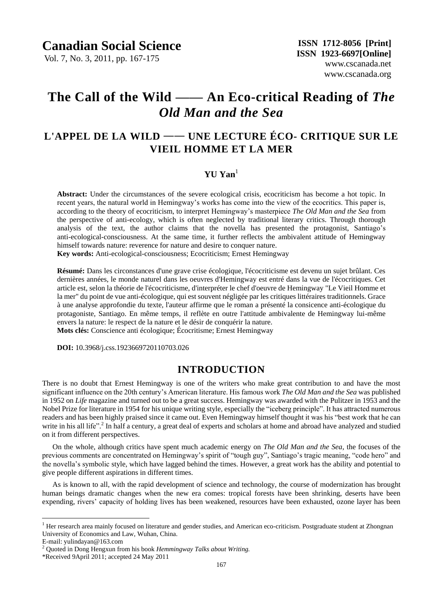Vol. 7, No. 3, 2011, pp. 167-175

# **The Call of the Wild** *——* **An Eco-critical Reading of** *The Old Man and the Sea*

## **L'APPEL DE LA WILD** —— **UNE LECTURE ÉCO- CRITIQUE SUR LE VIEIL HOMME ET LA MER**

## **YU Yan**<sup>1</sup>

**Abstract:** Under the circumstances of the severe ecological crisis, ecocriticism has become a hot topic. In recent years, the natural world in Hemingway's works has come into the view of the ecocritics. This paper is, according to the theory of ecocriticism, to interpret Hemingway's masterpiece *The Old Man and the Sea* from the perspective of anti-ecology, which is often neglected by traditional literary critics. Through thorough analysis of the text, the author claims that the novella has presented the protagonist, Santiago's anti-ecological-consciousness. At the same time, it further reflects the ambivalent attitude of Hemingway himself towards nature: reverence for nature and desire to conquer nature.

**Key words:** Anti-ecological-consciousness; Ecocriticism; Ernest Hemingway

**Résumé:** Dans les circonstances d'une grave crise écologique, l'écocriticisme est devenu un sujet brûlant. Ces dernières années, le monde naturel dans les oeuvres d'Hemingway est entré dans la vue de l'écocritiques. Cet article est, selon la théorie de l'écocriticisme, d'interpréter le chef d'oeuvre de Hemingway "Le Vieil Homme et la mer" du point de vue anti-écologique, qui est souvent négligée par les critiques littéraires traditionnels. Grace à une analyse approfondie du texte, l'auteur affirme que le roman a présenté la consicence anti-écologique du protagoniste, Santiago. En même temps, il reflète en outre l'attitude ambivalente de Hemingway lui-même envers la nature: le respect de la nature et le désir de conquérir la nature. **Mots clés:** Conscience anti écologique; Écocritisme; Ernest Hemingway

 **DOI:** 10.3968/j.css.1923669720110703.026

## **INTRODUCTION**

There is no doubt that Ernest Hemingway is one of the writers who make great contribution to and have the most significant influence on the 20th century's American literature. His famous work *The Old Man and the Sea* was published in 1952 on *Life* magazine and turned out to be a great success. Hemingway was awarded with the Pulitzer in 1953 and the Nobel Prize for literature in 1954 for his unique writing style, especially the "iceberg principle". It has attracted numerous readers and has been highly praised since it came out. Even Hemingway himself thought it was his "best work that he can write in his all life".<sup>2</sup> In half a century, a great deal of experts and scholars at home and abroad have analyzed and studied on it from different perspectives.

On the whole, although critics have spent much academic energy on *The Old Man and the Sea*, the focuses of the previous comments are concentrated on Hemingway's spirit of "tough guy", Santiago's tragic meaning, "code hero" and the novella's symbolic style, which have lagged behind the times. However, a great work has the ability and potential to give people different aspirations in different times.

As is known to all, with the rapid development of science and technology, the course of modernization has brought human beings dramatic changes when the new era comes: tropical forests have been shrinking, deserts have been expending, rivers' capacity of holding lives has been weakened, resources have been exhausted, ozone layer has been

 $\overline{a}$ 

 $<sup>1</sup>$  Her research area mainly focused on literature and gender studies, and American eco-criticism. Postgraduate student at Zhongnan</sup> University of Economics and Law, Wuhan, China.

E-mail: yulindayan@163.com

<sup>2</sup> Quoted in Dong Hengxun from his book *Hemmingway Talks about Writing.*

<sup>\*</sup>Received 9April 2011; accepted 24 May 2011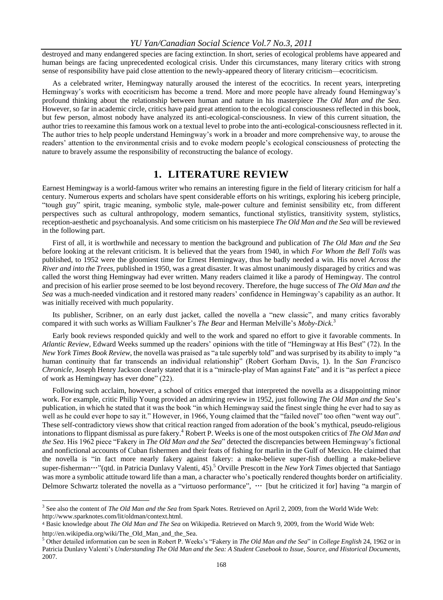destroyed and many endangered species are facing extinction. In short, series of ecological problems have appeared and human beings are facing unprecedented ecological crisis. Under this circumstances, many literary critics with strong sense of responsibility have paid close attention to the newly-appeared theory of literary criticism—ecocriticism.

As a celebrated writer, Hemingway naturally aroused the interest of the ecocritics. In recent years, interpreting Hemingway's works with ecocriticism has become a trend. More and more people have already found Hemingway's profound thinking about the relationship between human and nature in his masterpiece *The Old Man and the Sea*. However, so far in academic circle, critics have paid great attention to the ecological consciousness reflected in this book, but few person, almost nobody have analyzed its anti-ecological-consciousness. In view of this current situation, the author tries to reexamine this famous work on a textual level to probe into the anti-ecological-consciousness reflected in it. The author tries to help people understand Hemingway's work in a broader and more comprehensive way, to arouse the readers' attention to the environmental crisis and to evoke modern people's ecological consciousness of protecting the nature to bravely assume the responsibility of reconstructing the balance of ecology.

### **1. LITERATURE REVIEW**

Earnest Hemingway is a world-famous writer who remains an interesting figure in the field of literary criticism for half a century. Numerous experts and scholars have spent considerable efforts on his writings, exploring his iceberg principle, "tough guy" spirit, tragic meaning, symbolic style, male-power culture and feminist sensibility etc, from different perspectives such as cultural anthropology, modern semantics, functional stylistics, transitivity system, stylistics, reception-aesthetic and psychoanalysis. And some criticism on his masterpiece *The Old Man and the Sea* will be reviewed in the following part.

First of all, it is worthwhile and necessary to mention the background and publication of *The Old Man and the Sea* before looking at the relevant criticism. It is believed that the years from 1940, in which *[For Whom the Bell Tolls](http://en.wikipedia.org/wiki/For_Whom_the_Bell_Tolls)* was published, to 1952 were the gloomiest time for Ernest Hemingway, thus he badly needed a win. His novel *Across the River and into the Trees*, published in 1950, was a great disaster. It was almost unanimously disparaged by critics and was called the worst thing Hemingway had ever written. Many readers claimed it like a parody of Hemingway. The control and precision of his earlier prose seemed to be lost beyond recovery. Therefore, the huge success of *The Old Man and the Sea* was a much-needed vindication and it restored many readers' confidence in Hemingway's capability as an author. It was initially received with much popularity.

Its publisher, Scribner, on an early dust jacket, called the novella a "new classic", and many critics favorably compared it with such works as William Faulkner's *The Bear* and Herman Melville's *[Moby-Dick](http://en.wikipedia.org/wiki/Moby-Dick)*. 3

Early book reviews responded quickly and well to the work and spared no effort to give it favorable comments. In *Atlantic Review*, Edward Weeks summed up the readers' opinions with the title of "Hemingway at His Best" (72). In the *New York Times Book Review*, the novella was praised as "a tale superbly told" and was surprised by its ability to imply "a human continuity that far transcends an individual relationship" (Robert Gorham Davis, 1). In the *San Francisco Chronicle*, Joseph Henry Jackson clearly stated that it is a "miracle-play of Man against Fate" and it is "as perfect a piece of work as Hemingway has ever done" (22).

Following such acclaim, however, a school of critics emerged that interpreted the novella as a disappointing minor work. For example, critic Philip Young provided an admiring review in 1952, just following *The Old Man and the Sea*'s publication, in which he stated that it was the book "in which Hemingway said the finest single thing he ever had to say as well as he could ever hope to say it." However, in 1966, Young claimed that the "failed novel" too often "went way out". These self-contradictory views show that critical reaction ranged from adoration of the book's mythical, pseudo-religious intonations to flippant dismissal as pure fakery.<sup>4</sup> Robert P. Weeks is one of the most outspoken critics of *The Old Man and the Sea*. His 1962 piece "Fakery in *The Old Man and the Sea*" detected the discrepancies between Hemingway's fictional and nonfictional accounts of Cuban fishermen and their feats of fishing for marlin in the Gulf of Mexico. He claimed that the novella is "in fact more nearly fakery against fakery: a make-believe super-fish duelling a make-believe super-fisherman…"(qtd. in Patricia Dunlavy Valenti, 45).<sup>5</sup> Orville Prescott in the *New York Times* objected that Santiago was more a symbolic attitude toward life than a man, a character who's poetically rendered thoughts border on artificiality. Delmore Schwartz tolerated the novella as a "virtuoso performance", … [but he criticized it for] having "a margin of

 $\overline{a}$ 

<sup>3</sup> See also the content of *The Old Man and the Sea* from Spark Notes. Retrieved on April 2, 2009, from the World Wide Web: http://www.sparknotes.com/lit/oldman/context.html.

<sup>4</sup> Basic knowledge about *The Old Man and The Sea* on Wikipedia. Retrieved on March 9, 2009, from the World Wide Web:

http://en.wikipedia.org/wiki/The\_Old\_Man\_and\_the\_Sea.

<sup>5</sup> Other detailed information can be seen in Robert P. Weeks's "Fakery in *The Old Man and the Sea*" in *College English* 24, 1962 or in Patricia Dunlavy Valenti's *Understanding The Old Man and the Sea: A Student Casebook to Issue, Source, and Historical Documents*, 2007.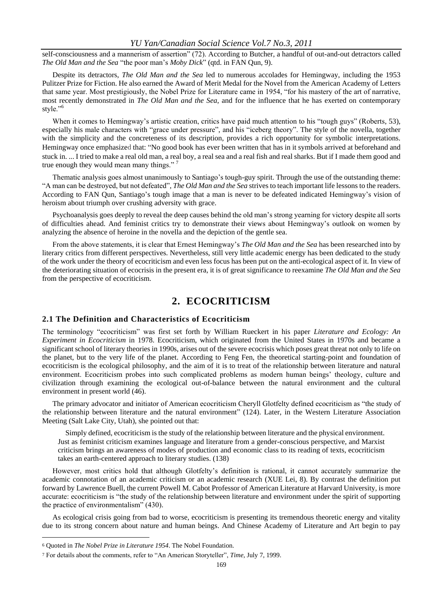self-consciousness and a mannerism of assertion" (72). According to Butcher, a handful of out-and-out detractors called *The Old Man and the Sea* "the poor man's *Moby Dick*" (qtd. in FAN Qun, 9).

Despite its detractors, *The Old Man and the Sea* led to numerous accolades for Hemingway, including the 1953 Pulitzer Prize for Fiction. He also earned the Award of Merit Medal for the Novel from the American Academy of Letters that same year. Most prestigiously, the Nobel Prize for Literature came in 1954, "for his mastery of the art of narrative, most recently demonstrated in *The Old Man and the Sea*, and for the influence that he has exerted on contemporary style."<sup>6</sup>

When it comes to Hemingway's artistic creation, critics have paid much attention to his "tough guys" (Roberts, 53), especially his male characters with "grace under pressure", and his "iceberg theory". The style of the novella, together with the simplicity and the concreteness of its description, provides a rich opportunity for symbolic interpretations. Hemingway once emphasized that: "No good book has ever been written that has in it symbols arrived at beforehand and stuck in. ... I tried to make a real old man, a real boy, a real sea and a real fish and real sharks. But if I made them good and true enough they would mean many things."

Thematic analysis goes almost unanimously to Santiago's tough-guy spirit. Through the use of the outstanding theme: "A man can be destroyed, but not defeated", *The Old Man and the Sea* strives to teach important life lessons to the readers. According to FAN Qun, Santiago's tough image that a man is never to be defeated indicated Hemingway's vision of heroism about triumph over crushing adversity with grace.

Psychoanalysis goes deeply to reveal the deep causes behind the old man's strong yearning for victory despite all sorts of difficulties ahead. And feminist critics try to demonstrate their views about Hemingway's outlook on women by analyzing the absence of heroine in the novella and the depiction of the gentle sea.

From the above statements, it is clear that Ernest Hemingway's *The Old Man and the Sea* has been researched into by literary critics from different perspectives. Nevertheless, still very little academic energy has been dedicated to the study of the work under the theory of ecocriticism and even less focus has been put on the anti-ecological aspect of it. In view of the deteriorating situation of ecocrisis in the present era, it is of great significance to reexamine *The Old Man and the Sea*  from the perspective of ecocriticism.

## **2. ECOCRITICISM**

#### **2.1 The Definition and Characteristics of Ecocriticism**

The terminology "ecocriticism" was first set forth by William Rueckert in his paper *Literature and Ecology: An Experiment in Ecocriticism* in 1978. Ecocriticism, which originated from the United States in 1970s and became a significant school of literary theories in 1990s, arises out of the severe ecocrisis which poses great threat not only to life on the planet, but to the very life of the planet. According to Feng Fen, the theoretical starting-point and foundation of ecocriticism is the ecological philosophy, and the aim of it is to treat of the relationship between literature and natural environment. Ecocriticism probes into such complicated problems as modern human beings' theology, culture and civilization through examining the ecological out-of-balance between the natural environment and the cultural environment in present world (46).

The primary advocator and initiator of American ecocriticism Cheryll Glotfelty defined ecocriticism as "the study of the relationship between [literature](http://en.wikipedia.org/wiki/Literature) and the [natural environment"](http://en.wikipedia.org/wiki/Natural_environment) (124). Later, in the Western Literature Association Meeting (Salt Lake City, Utah), she pointed out that:

Simply defined, ecocriticism is the study of the relationship between literature and the physical environment. Just as feminist criticism examines language and literature from a gender-conscious perspective, and Marxist criticism brings an awareness of modes of production and economic class to its reading of texts, ecocriticism takes an earth-centered approach to literary studies. (138)

However, most critics hold that although Glotfelty's definition is rational, it cannot accurately summarize the academic connotation of an academic criticism or an academic research (XUE Lei, 8). By contrast the definition put forward by Lawrence Buell, the current Powell M. Cabot Professor of American Literature at Harvard University, is more accurate: ecocriticism is "the study of the relationship between literature and environment under the spirit of supporting the practice of environmentalism" (430).

As ecological crisis going from bad to worse, ecocriticism is presenting its tremendous theoretic energy and vitality due to its strong concern about nature and human beings. And Chinese Academy of Literature and Art begin to pay

 $\overline{a}$ 

<sup>6</sup> Quoted in *The Nobel Prize in Literature 1954*. The Nobel Foundation.

<sup>7</sup> For details about the comments, refer to ["An American Storyteller",](http://www.time.com/time/magazine/article/0,9171,27803-4,00.html) *Time*, [July 7,](http://en.wikipedia.org/wiki/July_7) [1999.](http://en.wikipedia.org/wiki/1999)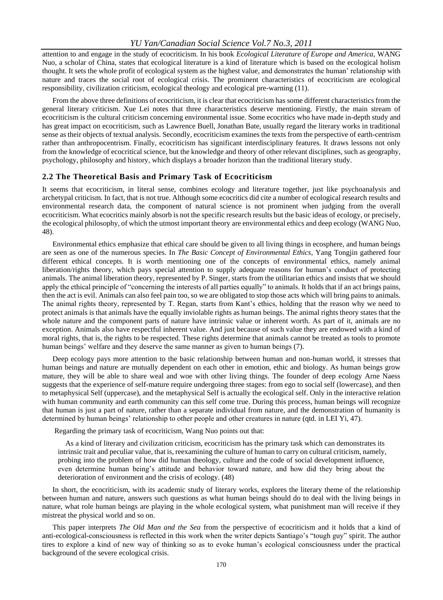attention to and engage in the study of ecocriticism. In his book *Ecological Literature of Europe and America*, WANG Nuo, a scholar of China, states that ecological literature is a kind of literature which is based on the ecological holism thought. It sets the whole profit of ecological system as the highest value, and demonstrates the human' relationship with nature and traces the social root of ecological crisis. The prominent characteristics of ecocriticism are ecological responsibility, civilization criticism, ecological theology and ecological pre-warning (11).

From the above three definitions of ecocriticism, it is clear that ecocriticism has some different characteristics from the general literary criticism. Xue Lei notes that three characteristics deserve mentioning. Firstly, the main stream of ecocriticism is the cultural criticism concerning environmental issue. Some ecocritics who have made in-depth study and has great impact on ecocriticism, such as Lawrence Buell, Jonathan Bate, usually regard the literary works in traditional sense as their objects of textual analysis. Secondly, ecocriticism examines the texts from the perspective of earth-centrism rather than anthropocentrism. Finally, ecocriticism has significant interdisciplinary features. It draws lessons not only from the knowledge of ecocritical science, but the knowledge and theory of other relevant disciplines, such as geography, psychology, philosophy and history, which displays a broader horizon than the traditional literary study.

#### **2.2 The Theoretical Basis and Primary Task of Ecocriticism**

It seems that ecocriticism, in literal sense, combines ecology and literature together, just like psychoanalysis and archetypal criticism. In fact, that is not true. Although some ecocritics did cite a number of ecological research results and environmental research data, the component of natural science is not prominent when judging from the overall ecocriticism. What ecocritics mainly absorb is not the specific research results but the basic ideas of ecology, or precisely, the ecological philosophy, of which the utmost important theory are environmental ethics and deep ecology (WANG Nuo, 48).

Environmental ethics emphasize that ethical care should be given to all living things in ecosphere, and human beings are seen as one of the numerous species. In *The Basic Concept of Environmental Ethics*, Yang Tongjin gathered four different ethical concepts. It is worth mentioning one of the concepts of environmental ethics, namely animal liberation/rights theory, which pays special attention to supply adequate reasons for human's conduct of protecting animals. The animal liberation theory, represented by P. Singer, starts from the utilitarian ethics and insists that we should apply the ethical principle of "concerning the interests of all parties equally" to animals. It holds that if an act brings pains, then the act is evil. Animals can also feel pain too, so we are obligated to stop those acts which will bring pains to animals. The animal rights theory, represented by T. Regan, starts from Kant's ethics, holding that the reason why we need to protect animals is that animals have the equally inviolable rights as human beings. The animal rights theory states that the whole nature and the component parts of nature have intrinsic value or inherent worth. As part of it, animals are no exception. Animals also have respectful inherent value. And just because of such value they are endowed with a kind of moral rights, that is, the rights to be respected. These rights determine that animals cannot be treated as tools to promote human beings' welfare and they deserve the same manner as given to human beings (7).

Deep ecology pays more attention to the basic relationship between human and non-human world, it stresses that human beings and nature are mutually dependent on each other in emotion, ethic and biology. As human beings grow mature, they will be able to share weal and woe with other living things. The founder of deep ecology Arne Naess suggests that the experience of self-mature require undergoing three stages: from ego to social self (lowercase), and then to metaphysical Self (uppercase), and the metaphysical Self is actually the ecological self. Only in the interactive relation with human community and earth community can this self come true. During this process, human beings will recognize that human is just a part of nature, rather than a separate individual from nature, and the demonstration of humanity is determined by human beings' relationship to other people and other creatures in nature (qtd. in LEI Yi, 47).

Regarding the primary task of ecocriticism, Wang Nuo points out that:

As a kind of literary and civilization criticism, ecocriticism has the primary task which can demonstrates its intrinsic trait and peculiar value, that is, reexamining the culture of human to carry on cultural criticism, namely, probing into the problem of how did human theology, culture and the code of social development influence, even determine human being's attitude and behavior toward nature, and how did they bring about the deterioration of environment and the crisis of ecology. (48)

In short, the ecocriticism, with its academic study of literary works, explores the literary theme of the relationship between human and nature, answers such questions as what human beings should do to deal with the living beings in nature, what role human beings are playing in the whole ecological system, what punishment man will receive if they mistreat the physical world and so on.

This paper interprets *The Old Man and the Sea* from the perspective of ecocriticism and it holds that a kind of anti-ecological-consciousness is reflected in this work when the writer depicts Santiago's "tough guy" spirit. The author tires to explore a kind of new way of thinking so as to evoke human's ecological consciousness under the practical background of the severe ecological crisis.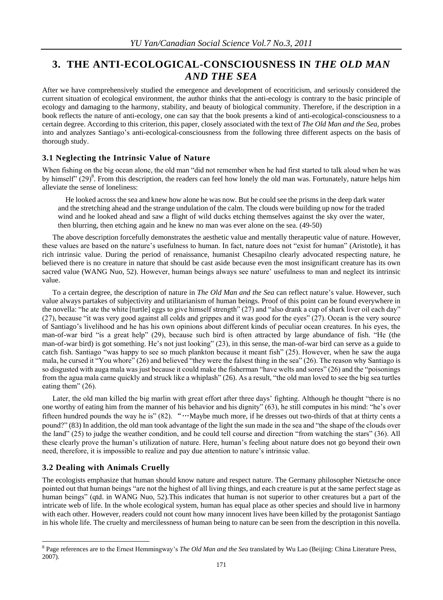## **3. THE ANTI-ECOLOGICAL-CONSCIOUSNESS IN** *THE OLD MAN AND THE SEA*

After we have comprehensively studied the emergence and development of ecocriticism, and seriously considered the current situation of ecological environment, the author thinks that the anti-ecology is contrary to the basic principle of ecology and damaging to the harmony, stability, and beauty of biological community. Therefore, if the description in a book reflects the nature of anti-ecology, one can say that the book presents a kind of anti-ecological-consciousness to a certain degree. According to this criterion, this paper, closely associated with the text of *The Old Man and the Sea*, probes into and analyzes Santiago's anti-ecological-consciousness from the following three different aspects on the basis of thorough study.

#### **3.1 Neglecting the Intrinsic Value of Nature**

When fishing on the big ocean alone, the old man "did not remember when he had first started to talk aloud when he was by himself" (29)<sup>8</sup>. From this description, the readers can feel how lonely the old man was. Fortunately, nature helps him alleviate the sense of loneliness:

He looked across the sea and knew how alone he was now. But he could see the prisms in the deep dark water and the stretching ahead and the strange undulation of the calm. The clouds were building up now for the traded wind and he looked ahead and saw a flight of wild ducks etching themselves against the sky over the water, then blurring, then etching again and he knew no man was ever alone on the sea. (49-50)

The above description forcefully demonstrates the aesthetic value and mentally therapeutic value of nature. However, these values are based on the nature's usefulness to human. In fact, nature does not "exist for human" (Aristotle), it has rich intrinsic value. During the period of renaissance, humanist Chesapilno clearly advocated respecting nature, he believed there is no creature in nature that should be cast aside because even the most insignificant creature has its own sacred value (WANG Nuo, 52). However, human beings always see nature' usefulness to man and neglect its intrinsic value.

To a certain degree, the description of nature in *The Old Man and the Sea* can reflect nature's value. However, such value always partakes of subjectivity and utilitarianism of human beings. Proof of this point can be found everywhere in the novella: "he ate the white [turtle] eggs to give himself strength" (27) and "also drank a cup of shark liver oil each day" (27), because "it was very good against all colds and grippes and it was good for the eyes" (27). Ocean is the very source of Santiago's livelihood and he has his own opinions about different kinds of peculiar ocean creatures. In his eyes, the man-of-war bird "is a great help" (29), because such bird is often attracted by large abundance of fish. "He (the man-of-war bird) is got something. He's not just looking" (23), in this sense, the man-of-war bird can serve as a guide to catch fish. Santiago "was happy to see so much plankton because it meant fish" (25). However, when he saw the auga mala, he cursed it "You whore" (26) and believed "they were the falsest thing in the sea" (26). The reason why Santiago is so disgusted with auga mala was just because it could make the fisherman "have welts and sores" (26) and the "poisonings from the agua mala came quickly and struck like a whiplash" (26). As a result, "the old man loved to see the big sea turtles eating them" (26).

Later, the old man killed the big marlin with great effort after three days' fighting. Although he thought "there is no one worthy of eating him from the manner of his behavior and his dignity" (63), he still computes in his mind: "he's over fifteen hundred pounds the way he is" (82). "…Maybe much more, if he dresses out two-thirds of that at thirty cents a pound?" (83) In addition, the old man took advantage of the light the sun made in the sea and "the shape of the clouds over the land" (25) to judge the weather condition, and he could tell course and direction "from watching the stars" (36). All these clearly prove the human's utilization of nature. Here, human's feeling about nature does not go beyond their own need, therefore, it is impossible to realize and pay due attention to nature's intrinsic value.

#### **3.2 Dealing with Animals Cruelly**

 $\overline{a}$ 

The ecologists emphasize that human should know nature and respect nature. The Germany philosopher Nietzsche once pointed out that human beings "are not the highest of all living things, and each creature is put at the same perfect stage as human beings" (qtd. in WANG Nuo, 52). This indicates that human is not superior to other creatures but a part of the intricate web of life. In the whole ecological system, human has equal place as other species and should live in harmony with each other. However, readers could not count how many innocent lives have been killed by the protagonist Santiago in his whole life. The cruelty and mercilessness of human being to nature can be seen from the description in this novella.

<sup>8</sup> Page references are to the Ernest Hemmingway's *The Old Man and the Sea* translated by Wu Lao (Beijing: [China Literature Press,](dict://key.0895DFE8DB67F9409DB285590D870EDD/China%20Literature%20Press) 2007).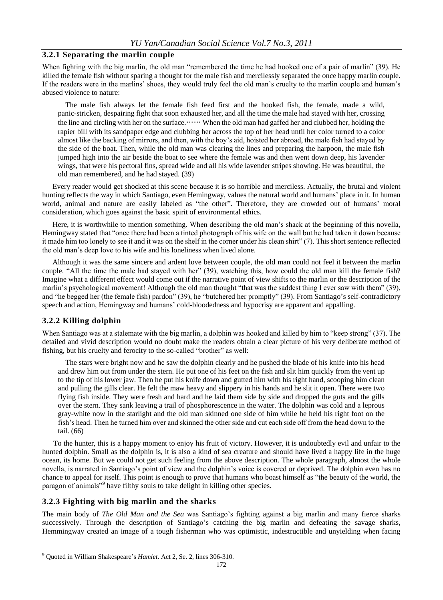#### **3.2.1 Separating the marlin couple**

When fighting with the big marlin, the old man "remembered the time he had hooked one of a pair of marlin" (39). He killed the female fish without sparing a thought for the male fish and mercilessly separated the once happy marlin couple. If the readers were in the marlins' shoes, they would truly feel the old man's cruelty to the marlin couple and human's abused violence to nature:

The male fish always let the female fish feed first and the hooked fish, the female, made a wild, panic-stricken, despairing fight that soon exhausted her, and all the time the male had stayed with her, crossing the line and circling with her on the surface.…… When the old man had gaffed her and clubbed her, holding the rapier bill with its sandpaper edge and clubbing her across the top of her head until her color turned to a color almost like the backing of mirrors, and then, with the boy's aid, hoisted her abroad, the male fish had stayed by the side of the boat. Then, while the old man was clearing the lines and preparing the harpoon, the male fish jumped high into the air beside the boat to see where the female was and then went down deep, his lavender wings, that were his pectoral fins, spread wide and all his wide lavender stripes showing. He was beautiful, the old man remembered, and he had stayed. (39)

Every reader would get shocked at this scene because it is so horrible and merciless. Actually, the brutal and violent hunting reflects the way in which Santiago, even Hemingway, values the natural world and humans' place in it. In human world, animal and nature are easily labeled as "the other". Therefore, they are crowded out of humans' moral consideration, which goes against the basic spirit of environmental ethics.

Here, it is worthwhile to mention something. When describing the old man's shack at the beginning of this novella, Hemingway stated that "once there had been a tinted photograph of his wife on the wall but he had taken it down because it made him too lonely to see it and it was on the shelf in the corner under his clean shirt" (7). This short sentence reflected the old man's deep love to his wife and his loneliness when lived alone.

Although it was the same sincere and ardent love between couple, the old man could not feel it between the marlin couple. "All the time the male had stayed with her" (39), watching this, how could the old man kill the female fish? Imagine what a different effect would come out if the narrative point of view shifts to the marlin or the description of the marlin's psychological movement! Although the old man thought "that was the saddest thing I ever saw with them" (39), and "he begged her (the female fish) pardon" (39), he "butchered her promptly" (39). From Santiago's self-contradictory speech and action, Hemingway and humans' cold-bloodedness and hypocrisy are apparent and appalling.

#### **3.2.2 Killing dolphin**

 $\overline{a}$ 

When Santiago was at a stalemate with the big marlin, a dolphin was hooked and killed by him to "keep strong" (37). The detailed and vivid description would no doubt make the readers obtain a clear picture of his very deliberate method of fishing, but his cruelty and ferocity to the so-called "brother" as well:

The stars were bright now and he saw the dolphin clearly and he pushed the blade of his knife into his head and drew him out from under the stern. He put one of his feet on the fish and slit him quickly from the vent up to the tip of his lower jaw. Then he put his knife down and gutted him with his right hand, scooping him clean and pulling the gills clear. He felt the maw heavy and slippery in his hands and he slit it open. There were two flying fish inside. They were fresh and hard and he laid them side by side and dropped the guts and the gills over the stern. They sank leaving a trail of phosphorescence in the water. The dolphin was cold and a leprous gray-white now in the starlight and the old man skinned one side of him while he held his right foot on the fish's head. Then he turned him over and skinned the other side and cut each side off from the head down to the tail. (66)

To the hunter, this is a happy moment to enjoy his fruit of victory. However, it is undoubtedly evil and unfair to the hunted dolphin. Small as the dolphin is, it is also a kind of sea creature and should have lived a happy life in the huge ocean, its home. But we could not get such feeling from the above description. The whole paragraph, almost the whole novella, is narrated in Santiago's point of view and the dolphin's voice is covered or deprived. The dolphin even has no chance to appeal for itself. This point is enough to prove that humans who boast himself as "the beauty of the world, the paragon of animals"<sup>9</sup> have filthy souls to take delight in killing other species.

#### **3.2.3 Fighting with big marlin and the sharks**

The main body of *The Old Man and the Sea* was Santiago's fighting against a big marlin and many fierce sharks successively. Through the description of Santiago's catching the big marlin and defeating the savage sharks, Hemmingway created an image of a tough fisherman who was optimistic, indestructible and unyielding when facing

<sup>9</sup> Quoted in William Shakespeare's *Hamlet*. Act 2, Se. 2, lines 306-310.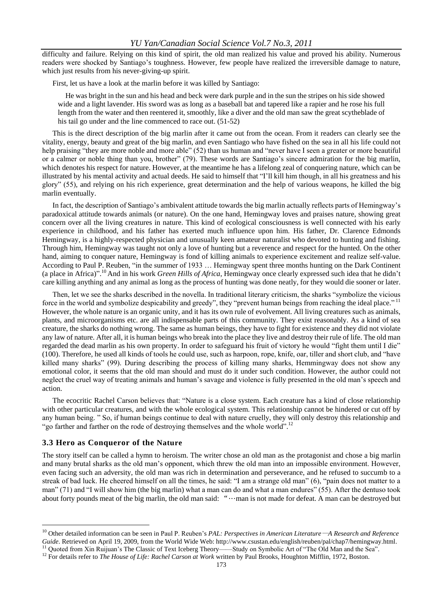difficulty and failure. Relying on this kind of spirit, the old man realized his value and proved his ability. Numerous readers were shocked by Santiago's toughness. However, few people have realized the irreversible damage to nature, which just results from his never-giving-up spirit.

First, let us have a look at the marlin before it was killed by Santiago:

He was bright in the sun and his head and beck were dark purple and in the sun the stripes on his side showed wide and a light lavender. His sword was as long as a baseball bat and tapered like a rapier and he rose his full length from the water and then reentered it, smoothly, like a diver and the old man saw the great scytheblade of his tail go under and the line commenced to race out. (51-52)

This is the direct description of the big marlin after it came out from the ocean. From it readers can clearly see the vitality, energy, beauty and great of the big marlin, and even Santiago who have fished on the sea in all his life could not help praising "they are more noble and more able" (52) than us human and "never have I seen a greater or more beautiful or a calmer or noble thing than you, brother" (79). These words are Santiago's sincere admiration for the big marlin, which denotes his respect for nature. However, at the meantime he has a lifelong zeal of conquering nature, which can be illustrated by his mental activity and actual deeds. He said to himself that "I'll kill him though, in all his greatness and his glory" (55), and relying on his rich experience, great determination and the help of various weapons, he killed the big marlin eventually.

In fact, the description of Santiago's ambivalent attitude towards the big marlin actually reflects parts of Hemingway's paradoxical attitude towards animals (or nature). On the one hand, Hemingway loves and praises nature, showing great concern over all the living creatures in nature. This kind of ecological consciousness is well connected with his early experience in childhood, and his father has exerted much influence upon him. His father, Dr. Clarence Edmonds Hemingway, is a highly-respected physician and unusually keen amateur naturalist who devoted to hunting and fishing. Through him, Hemingway was taught not only a love of hunting but a reverence and respect for the hunted. On the other hand, aiming to conquer nature, Hemingway is fond of killing animals to experience excitement and realize self-value. According to Paul P. Reuben, "in the summer of 1933 … Hemingway spent three months hunting on the Dark Continent (a place in Africa)". <sup>10</sup> And in his work *Green Hills of Africa*, Hemingway once clearly expressed such idea that he didn't care killing anything and any animal as long as the process of hunting was done neatly, for they would die sooner or later.

Then, let we see the sharks described in the novella. In traditional literary criticism, the sharks "symbolize the vicious force in the world and symbolize despicability and greedy", they "prevent human beings from reaching the ideal place."<sup>11</sup> However, the whole nature is an organic unity, and it has its own rule of evolvement. All living creatures such as animals, plants, and microorganisms etc. are all indispensable parts of this community. They exist reasonably. As a kind of sea creature, the sharks do nothing wrong. The same as human beings, they have to fight for existence and they did not violate any law of nature. After all, it is human beings who break into the place they live and destroy their rule of life. The old man regarded the dead marlin as his own property. In order to safeguard his fruit of victory he would "fight them until I die" (100). Therefore, he used all kinds of tools he could use, such as harpoon, rope, knife, oar, tiller and short club, and "have killed many sharks" (99). During describing the process of killing many sharks, Hemmingway does not show any emotional color, it seems that the old man should and must do it under such condition. However, the author could not neglect the cruel way of treating animals and human's savage and violence is fully presented in the old man's speech and action.

The ecocritic Rachel Carson believes that: "Nature is a close system. Each creature has a kind of close relationship with other particular creatures, and with the whole ecological system. This relationship cannot be hindered or cut off by any human being. " So, if human beings continue to deal with nature cruelly, they will only destroy this relationship and "go farther and farther on the rode of destroying themselves and the whole world".<sup>12</sup>

#### **3.3 Hero as Conqueror of the Nature**

 $\overline{a}$ 

The story itself can be called a hymn to heroism. The writer chose an old man as the protagonist and chose a big marlin and many brutal sharks as the old man's opponent, which threw the old man into an impossible environment. However, even facing such an adversity, the old man was rich in determination and perseverance, and he refused to succumb to a streak of bad luck. He cheered himself on all the times, he said: "I am a strange old man" (6), "pain does not matter to a man" (71) and "I will show him (the big marlin) what a man can do and what a man endures" (55). After the dentuso took about forty pounds meat of the big marlin, the old man said: "…man is not made for defeat. A man can be destroyed but

<sup>&</sup>lt;sup>10</sup> Other detailed information can be seen in Paul P. Reuben's *PAL: Perspectives in American Literature* —*A Research and Reference Guide*. Retrieved on April 19, 2009, from the World Wide Web: http://www.csustan.edu/english/reuben/pal/chap7/hemingway.html. Quoted from Xin Ruijuan's The Classic of Text Iceberg Theory——Study on Symbolic Art of "The Old Man and the Sea".

<sup>&</sup>lt;sup>12</sup> For details refer to *The House of Life: Rachel Carson at Work* written by Paul Brooks, Houghton Mifflin, 1972, Boston.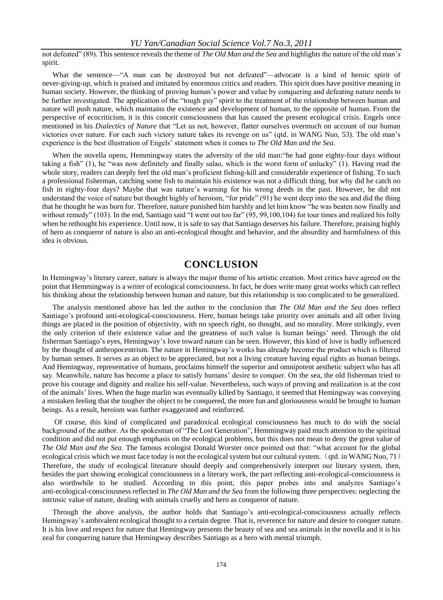#### *YU Yan/Canadian Social Science Vol.7 No.3, 2011*

not defeated" (89). This sentence reveals the theme of *The Old Man and the Sea* and highlights the nature of the old man's spirit.

What the sentence—"A man can be destroyed but not defeated"—advocate is a kind of heroic spirit of never-giving-up, which is praised and imitated by enormous critics and readers. This spirit does have positive meaning in human society. However, the thinking of proving human's power and value by conquering and defeating nature needs to be further investigated. The application of the "tough guy" spirit to the treatment of the relationship between human and nature will push nature, which maintains the existence and development of human, to the opposite of human. From the perspective of ecocriticism, it is this conceit consciousness that has caused the present ecological crisis. Engels once mentioned in his *Dialectics of Nature* that "Let us not, however, flatter ourselves overmuch on account of our human victories over nature. For each such victory nature takes its revenge on us" (qtd. in WANG Nuo, 53). The old man's experience is the best illustration of Engels' statement when it comes to *The Old Man and the Sea*.

When the novella opens, Hemmingway states the adversity of the old man:"he had gone eighty-four days without taking a fish" (1), he "was now definitely and finally salao, which is the worst form of unlucky" (1). Having read the whole story, readers can deeply feel the old man's proficient fishing-kill and considerable experience of fishing. To such a professional fisherman, catching some fish to maintain his existence was not a difficult thing, but why did he catch no fish in eighty-four days? Maybe that was nature's warning for his wrong deeds in the past. However, he did not understand the voice of nature but thought highly of heroism, "for pride" (91) he went deep into the sea and did the thing that he thought he was born for. Therefore, nature punished him harshly and let him know "he was beaten now finally and without remedy" (103). In the end, Santiago said "I went out too far" (95, 99,100,104) for tour times and realized his folly when he rethought his experience. Until now, it is safe to say that Santiago deserves his failure. Therefore, praising highly of hero as conqueror of nature is also an anti-ecological thought and behavior, and the absurdity and harmfulness of this idea is obvious.

### **CONCLUSION**

In Hemingway's literary career, nature is always the major theme of his artistic creation. Most critics have agreed on the point that Hemmingway is a writer of ecological consciousness. In fact, he does write many great works which can reflect his thinking about the relationship between human and nature, but this relationship is too complicated to be generalized.

The analysis mentioned above has led the author to the conclusion that *The Old Man and the Sea* does reflect Santiago's profound anti-ecological-consciousness. Here, human beings take priority over animals and all other living things are placed in the position of objectivity, with no speech right, no thought, and no morality. More strikingly, even the only criterion of their existence value and the greatness of such value is human beings' need. Through the old fisherman Santiago's eyes, Hemingway's love toward nature can be seen. However, this kind of love is badly influenced by the thought of anthropocentrism. The nature in Hemingway's works has already become the product which is filtered by human senses. It serves as an object to be appreciated, but not a living creature having equal rights as human beings. And Hemingway, representative of humans, proclaims himself the superior and omnipotent aesthetic subject who has all say. Meanwhile, nature has become a place to satisfy humans' desire to conquer. On the sea, the old fisherman tried to prove his courage and dignity and realize his self-value. Nevertheless, such ways of proving and realization is at the cost of the animals' lives. When the huge marlin was eventually killed by Santiago, it seemed that Hemingway was conveying a mistaken feeling that the tougher the object to be conquered, the more fun and gloriousness would be brought to human beings. As a result, heroism was further exaggerated and reinforced.

Of course, this kind of complicated and paradoxical ecological consciousness has much to do with the social background of the author. As the spokesman of "The Lost Generation", Hemmingway paid much attention to the spiritual condition and did not put enough emphasis on the ecological problems, but this does not mean to deny the great value of *The Old Man and the Sea*. The famous ecologist Donald Worster once pointed out that: "what account for the global ecological crisis which we must face today is not the ecological system but our cultural system. (qtd. in WANG Nuo, 71) Therefore, the study of ecological literature should deeply and comprehensively interpret our literary system, then, besides the part showing ecological consciousness in a literary work, the part reflecting anti-ecological-consciousness is also worthwhile to be studied. According to this point, this paper probes into and analyzes Santiago's anti-ecological-consciousness reflected in *The Old Man and the Sea* from the following three perspectives: neglecting the intrinsic value of nature, dealing with animals cruelly and hero as conqueror of nature.

Through the above analysis, the author holds that Santiago's anti-ecological-consciousness actually reflects Hemingway's ambivalent ecological thought to a certain degree. That is, reverence for nature and desire to conquer nature. It is his love and respect for nature that Hemingway presents the beauty of sea and sea animals in the novella and it is his zeal for conquering nature that Hemingway describes Santiago as a hero with mental triumph.